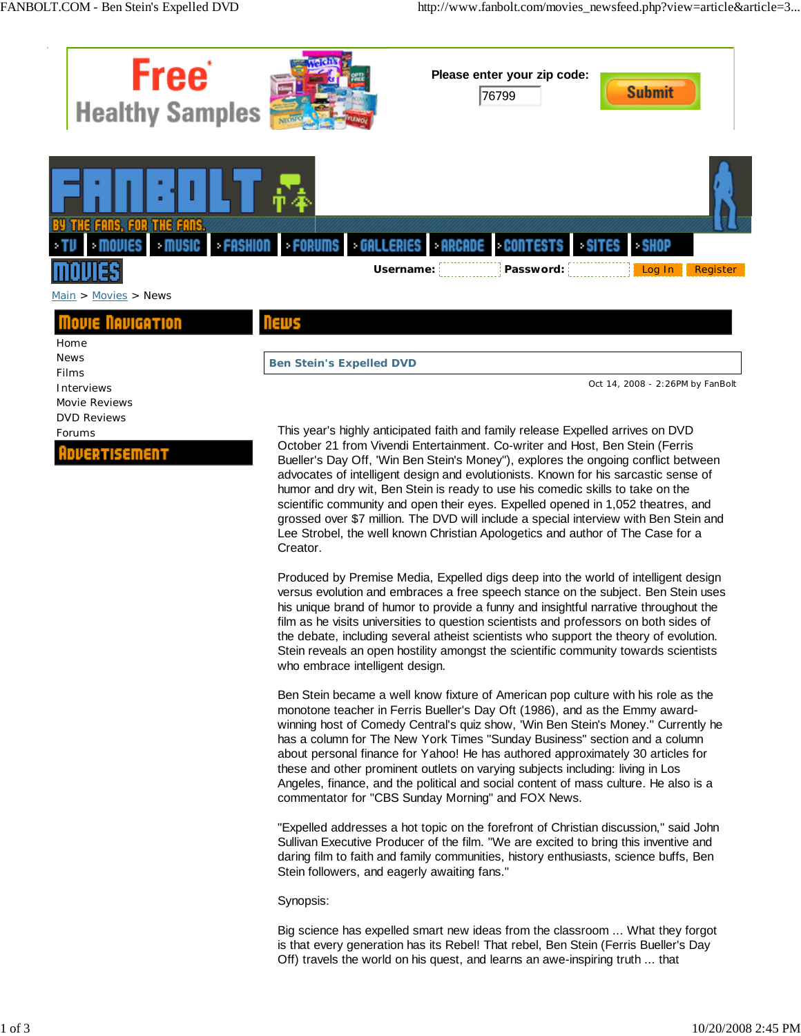

October 21 from Vivendi Entertainment. Co-writer and Host, Ben Stein (Ferris Bueller's Day Off, 'Win Ben Stein's Money"), explores the ongoing conflict between advocates of intelligent design and evolutionists. Known for his sarcastic sense of humor and dry wit, Ben Stein is ready to use his comedic skills to take on the scientific community and open their eyes. Expelled opened in 1,052 theatres, and grossed over \$7 million. The DVD will include a special interview with Ben Stein and Lee Strobel, the well known Christian Apologetics and author of The Case for a Creator.

Produced by Premise Media, Expelled digs deep into the world of intelligent design versus evolution and embraces a free speech stance on the subject. Ben Stein uses his unique brand of humor to provide a funny and insightful narrative throughout the film as he visits universities to question scientists and professors on both sides of the debate, including several atheist scientists who support the theory of evolution. Stein reveals an open hostility amongst the scientific community towards scientists who embrace intelligent design.

Ben Stein became a well know fixture of American pop culture with his role as the monotone teacher in Ferris Bueller's Day Oft (1986), and as the Emmy awardwinning host of Comedy Central's quiz show, 'Win Ben Stein's Money." Currently he has a column for The New York Times "Sunday Business" section and a column about personal finance for Yahoo! He has authored approximately 30 articles for these and other prominent outlets on varying subjects including: living in Los Angeles, finance, and the political and social content of mass culture. He also is a commentator for "CBS Sunday Morning" and FOX News.

"Expelled addresses a hot topic on the forefront of Christian discussion," said John Sullivan Executive Producer of the film. "We are excited to bring this inventive and daring film to faith and family communities, history enthusiasts, science buffs, Ben Stein followers, and eagerly awaiting fans."

Synopsis:

Big science has expelled smart new ideas from the classroom ... What they forgot is that every generation has its Rebel! That rebel, Ben Stein (Ferris Bueller's Day Off) travels the world on his quest, and learns an awe-inspiring truth ... that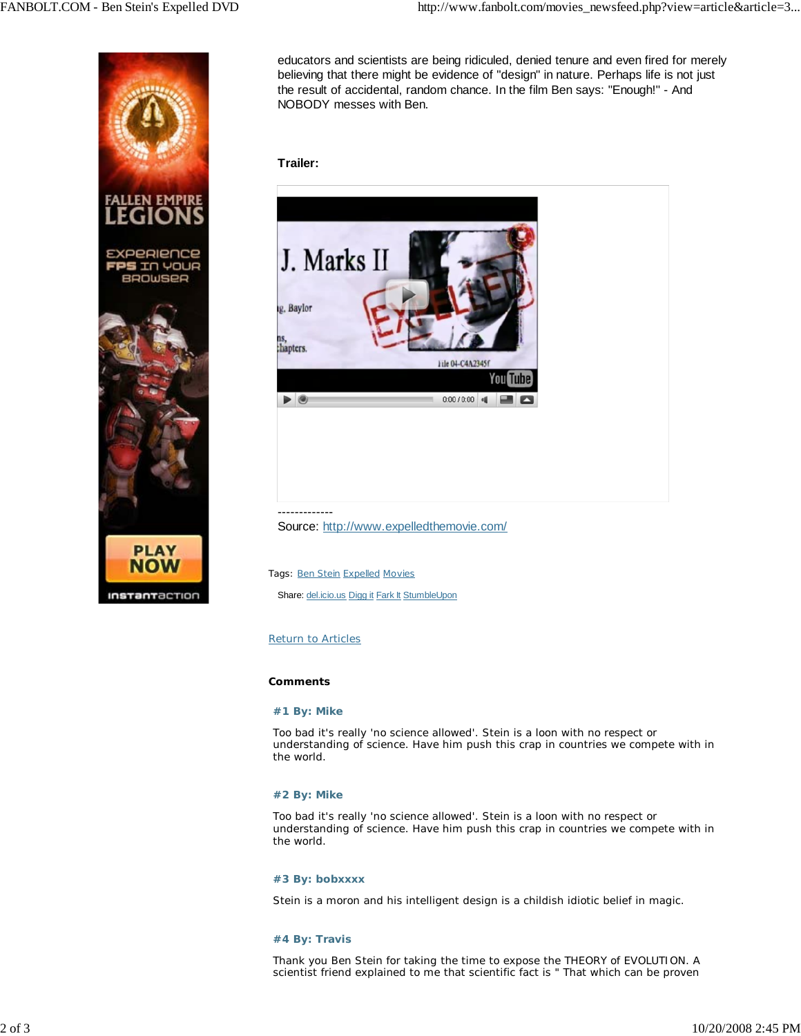

educators and scientists are being ridiculed, denied tenure and even fired for merely believing that there might be evidence of "design" in nature. Perhaps life is not just the result of accidental, random chance. In the film Ben says: "Enough!" - And NOBODY messes with Ben.

# **Trailer:**



-------------

Source: http://www.expelledthemovie.com/

Tags: Ben Stein Expelled Movies Share: del.icio.us Digg it Fark It StumbleUpon

# Return to Articles

## **Comments**

## **#1 By: Mike**

Too bad it's really 'no science allowed'. Stein is a loon with no respect or understanding of science. Have him push this crap in countries we compete with in the world.

## **#2 By: Mike**

Too bad it's really 'no science allowed'. Stein is a loon with no respect or understanding of science. Have him push this crap in countries we compete with in the world.

## **#3 By: bobxxxx**

Stein is a moron and his intelligent design is a childish idiotic belief in magic.

## **#4 By: Travis**

Thank you Ben Stein for taking the time to expose the THEORY of EVOLUTION. A scientist friend explained to me that scientific fact is " That which can be proven